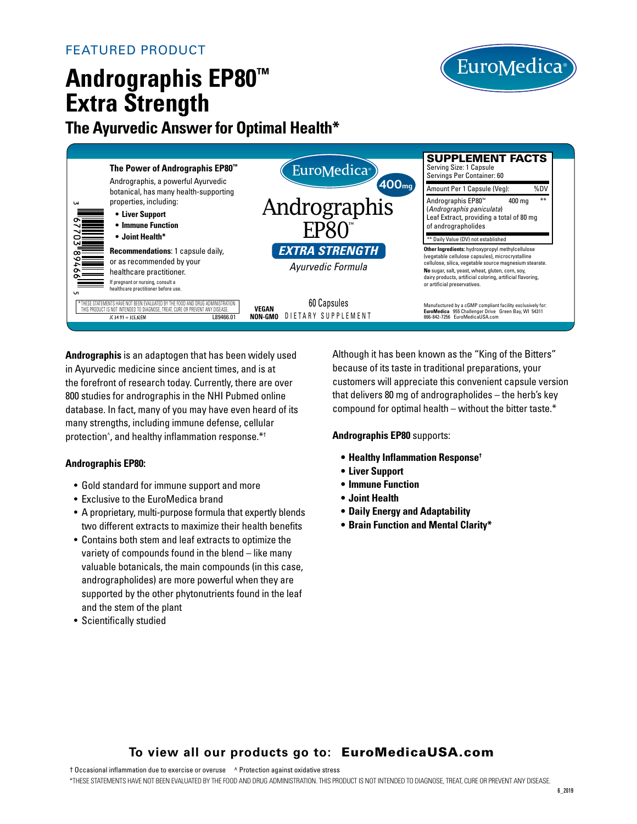## FEATURED PRODUCT

# **Andrographis EP80™ Extra Strength**

## **The Ayurvedic Answer for Optimal Health\***





**Andrographis** is an adaptogen that has been widely used in Ayurvedic medicine since ancient times, and is at the forefront of research today. Currently, there are over 800 studies for andrographis in the NHI Pubmed online database. In fact, many of you may have even heard of its many strengths, including immune defense, cellular protection^ , and healthy inflammation response.\*†

#### **Andrographis EP80:**

- Gold standard for immune support and more
- Exclusive to the EuroMedica brand
- A proprietary, multi-purpose formula that expertly blends two different extracts to maximize their health benefits
- Contains both stem and leaf extracts to optimize the variety of compounds found in the blend – like many valuable botanicals, the main compounds (in this case, andrographolides) are more powerful when they are supported by the other phytonutrients found in the leaf and the stem of the plant
- Scientifically studied

Although it has been known as the "King of the Bitters" because of its taste in traditional preparations, your customers will appreciate this convenient capsule version that delivers 80 mg of andrographolides – the herb's key compound for optimal health – without the bitter taste.\*

**Andrographis EP80** supports:

- **Healthy Inflammation Response†**
- **Liver Support**
- **Immune Function**
- **Joint Health**
- **Daily Energy and Adaptability**
- **Brain Function and Mental Clarity\***

## **To view all our products go to:** EuroMedicaUSA.com

† Occasional inflammation due to exercise or overuse ^ Protection against oxidative stress

\*THESE STATEMENTS HAVE NOT BEEN EVALUATED BY THE FOOD AND DRUG ADMINISTRATION. THIS PRODUCT IS NOT INTENDED TO DIAGNOSE, TREAT, CURE OR PREVENT ANY DISEASE.